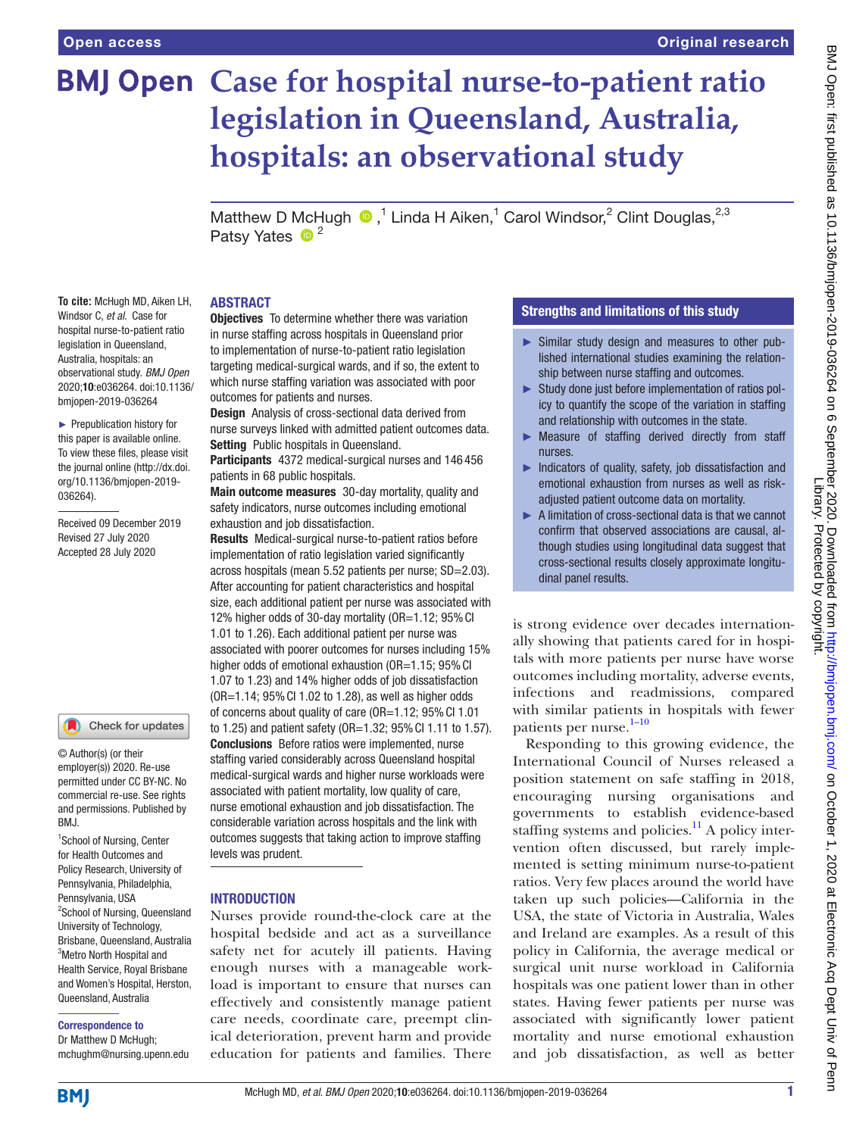# **BMJ Open Case for hospital nurse-to-patient ratio legislation in Queensland, Australia, hospitals: an observational study**

Matthew D McHugh  $\bigcirc$ ,<sup>1</sup> Linda H Aiken,<sup>1</sup> Carol Windsor,<sup>2</sup> Clint Douglas,<sup>2,3</sup> Patsy Yates  $\bullet$ <sup>2</sup>

#### ABSTRACT

**To cite:** McHugh MD, Aiken LH, Windsor C, *et al*. Case for hospital nurse-to-patient ratio legislation in Queensland, Australia, hospitals: an observational study. *BMJ Open* 2020;10:e036264. doi:10.1136/ bmjopen-2019-036264

► Prepublication history for this paper is available online. To view these files, please visit the journal online (http://dx.doi. org/10.1136/bmjopen-2019- 036264).

Received 09 December 2019 Revised 27 July 2020 Accepted 28 July 2020

#### Check for updates

© Author(s) (or their employer(s)) 2020. Re-use permitted under CC BY-NC. No commercial re-use. See rights and permissions. Published by BMJ.

<sup>1</sup>School of Nursing, Center for Health Outcomes and Policy Research, University of Pennsylvania, Philadelphia, Pennsylvania, USA <sup>2</sup>School of Nursing, Queensland University of Technology, Brisbane, Queensland, Australia <sup>3</sup>Metro North Hospital and Health Service, Royal Brisbane and Women's Hospital, Herston, Queensland, Australia

#### Correspondence to

Dr Matthew D McHugh; mchughm@nursing.upenn.edu **Objectives** To determine whether there was variation in nurse staffing across hospitals in Queensland prior to implementation of nurse-to-patient ratio legislation targeting medical-surgical wards, and if so, the extent to which nurse staffing variation was associated with poor outcomes for patients and nurses.

Design Analysis of cross-sectional data derived from nurse surveys linked with admitted patient outcomes data. Setting Public hospitals in Queensland.

Participants 4372 medical-surgical nurses and 146 456 patients in 68 public hospitals.

Main outcome measures 30-day mortality, quality and safety indicators, nurse outcomes including emotional exhaustion and job dissatisfaction.

Results Medical-surgical nurse-to-patient ratios before implementation of ratio legislation varied significantly across hospitals (mean 5.52 patients per nurse; SD=2.03). After accounting for patient characteristics and hospital size, each additional patient per nurse was associated with 12% higher odds of 30-day mortality (OR=1.12; 95%CI 1.01 to 1.26). Each additional patient per nurse was associated with poorer outcomes for nurses including 15% higher odds of emotional exhaustion ( $OR=1.15$ ; 95% CI 1.07 to 1.23) and 14% higher odds of job dissatisfaction  $(OR=1.14; 95\% \text{ CI} 1.02 \text{ to } 1.28)$ , as well as higher odds of concerns about quality of care (OR=1.12; 95%CI 1.01 to 1.25) and patient safety (OR=1.32; 95%CI 1.11 to 1.57). Conclusions Before ratios were implemented, nurse staffing varied considerably across Queensland hospital medical-surgical wards and higher nurse workloads were associated with patient mortality, low quality of care, nurse emotional exhaustion and job dissatisfaction. The considerable variation across hospitals and the link with outcomes suggests that taking action to improve staffing levels was prudent.

#### INTRODUCTION

Nurses provide round-the-clock care at the hospital bedside and act as a surveillance safety net for acutely ill patients. Having enough nurses with a manageable workload is important to ensure that nurses can effectively and consistently manage patient care needs, coordinate care, preempt clinical deterioration, prevent harm and provide education for patients and families. There

#### Strengths and limitations of this study

- ► Similar study design and measures to other published international studies examining the relationship between nurse staffing and outcomes.
- ► Study done just before implementation of ratios policy to quantify the scope of the variation in staffing and relationship with outcomes in the state.
- ► Measure of staffing derived directly from staff nurses.
- ► Indicators of quality, safety, job dissatisfaction and emotional exhaustion from nurses as well as riskadjusted patient outcome data on mortality.
- ► A limitation of cross-sectional data is that we cannot confirm that observed associations are causal, although studies using longitudinal data suggest that cross-sectional results closely approximate longitudinal panel results.

is strong evidence over decades internationally showing that patients cared for in hospitals with more patients per nurse have worse outcomes including mortality, adverse events, infections and readmissions, compared with similar patients in hospitals with fewer patients per nurse. $1-10$ 

Responding to this growing evidence, the International Council of Nurses released a position statement on safe staffing in 2018, encouraging nursing organisations and governments to establish evidence-based staffing systems and policies. $^{11}$  A policy intervention often discussed, but rarely implemented is setting minimum nurse-to-patient ratios. Very few places around the world have taken up such policies—California in the USA, the state of Victoria in Australia, Wales and Ireland are examples. As a result of this policy in California, the average medical or surgical unit nurse workload in California hospitals was one patient lower than in other states. Having fewer patients per nurse was associated with significantly lower patient mortality and nurse emotional exhaustion and job dissatisfaction, as well as better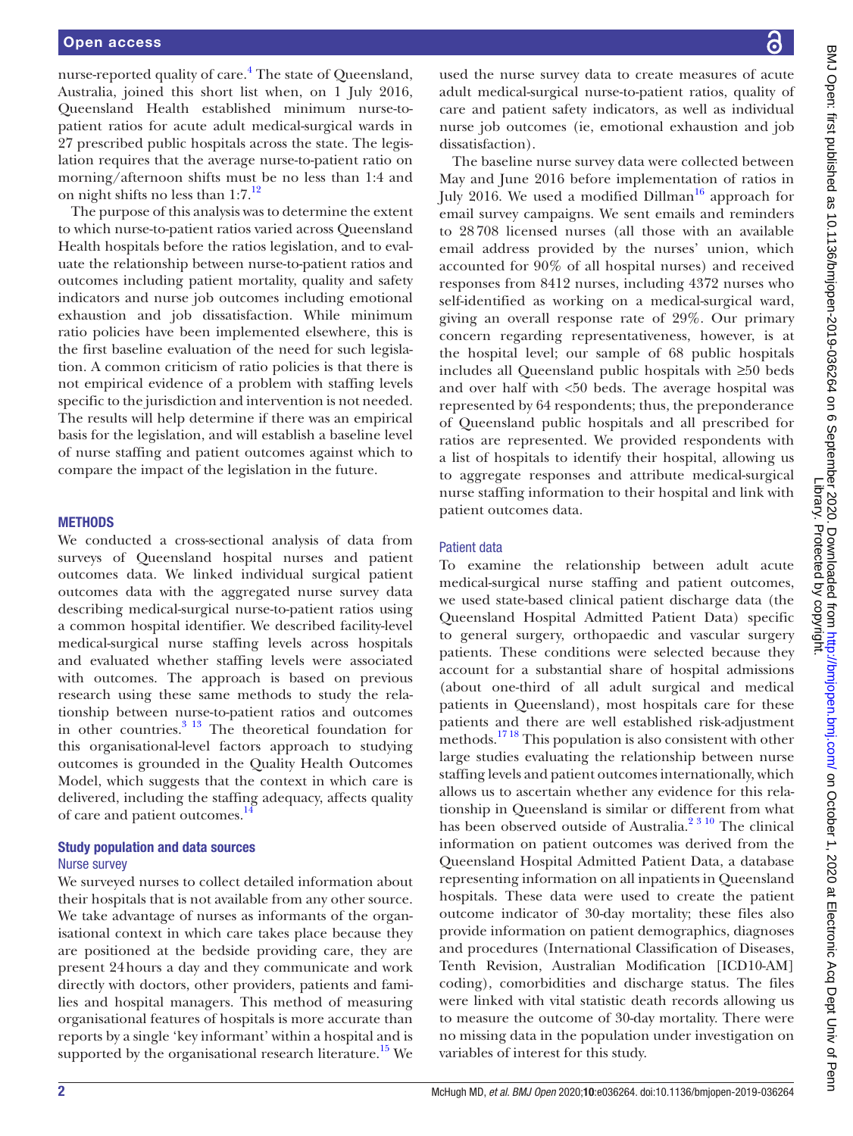nurse-reported quality of care.<sup>[4](#page-5-1)</sup> The state of Queensland, Australia, joined this short list when, on 1 July 2016, Queensland Health established minimum nurse-topatient ratios for acute adult medical-surgical wards in 27 prescribed public hospitals across the state. The legislation requires that the average nurse-to-patient ratio on morning/afternoon shifts must be no less than 1:4 and on night shifts no less than 1:7.<sup>[12](#page-6-1)</sup>

The purpose of this analysis was to determine the extent to which nurse-to-patient ratios varied across Queensland Health hospitals before the ratios legislation, and to evaluate the relationship between nurse-to-patient ratios and outcomes including patient mortality, quality and safety indicators and nurse job outcomes including emotional exhaustion and job dissatisfaction. While minimum ratio policies have been implemented elsewhere, this is the first baseline evaluation of the need for such legislation. A common criticism of ratio policies is that there is not empirical evidence of a problem with staffing levels specific to the jurisdiction and intervention is not needed. The results will help determine if there was an empirical basis for the legislation, and will establish a baseline level of nurse staffing and patient outcomes against which to compare the impact of the legislation in the future.

#### **METHODS**

We conducted a cross-sectional analysis of data from surveys of Queensland hospital nurses and patient outcomes data. We linked individual surgical patient outcomes data with the aggregated nurse survey data describing medical-surgical nurse-to-patient ratios using a common hospital identifier. We described facility-level medical-surgical nurse staffing levels across hospitals and evaluated whether staffing levels were associated with outcomes. The approach is based on previous research using these same methods to study the relationship between nurse-to-patient ratios and outcomes in other countries. $3^{13}$  The theoretical foundation for this organisational-level factors approach to studying outcomes is grounded in the Quality Health Outcomes Model, which suggests that the context in which care is delivered, including the staffing adequacy, affects quality of care and patient outcomes.<sup>14</sup>

#### Study population and data sources Nurse survey

We surveyed nurses to collect detailed information about their hospitals that is not available from any other source. We take advantage of nurses as informants of the organisational context in which care takes place because they are positioned at the bedside providing care, they are present 24hours a day and they communicate and work directly with doctors, other providers, patients and families and hospital managers. This method of measuring organisational features of hospitals is more accurate than reports by a single 'key informant' within a hospital and is supported by the organisational research literature.<sup>15</sup> We

used the nurse survey data to create measures of acute adult medical-surgical nurse-to-patient ratios, quality of care and patient safety indicators, as well as individual nurse job outcomes (ie, emotional exhaustion and job dissatisfaction).

The baseline nurse survey data were collected between May and June 2016 before implementation of ratios in July 20[16](#page-6-4). We used a modified Dillman<sup>16</sup> approach for email survey campaigns. We sent emails and reminders to 28 708 licensed nurses (all those with an available email address provided by the nurses' union, which accounted for 90% of all hospital nurses) and received responses from 8412 nurses, including 4372 nurses who self-identified as working on a medical-surgical ward, giving an overall response rate of 29%. Our primary concern regarding representativeness, however, is at the hospital level; our sample of 68 public hospitals includes all Queensland public hospitals with ≥50 beds and over half with <50 beds. The average hospital was represented by 64 respondents; thus, the preponderance of Queensland public hospitals and all prescribed for ratios are represented. We provided respondents with a list of hospitals to identify their hospital, allowing us to aggregate responses and attribute medical-surgical nurse staffing information to their hospital and link with patient outcomes data.

#### Patient data

To examine the relationship between adult acute medical-surgical nurse staffing and patient outcomes, we used state-based clinical patient discharge data (the Queensland Hospital Admitted Patient Data) specific to general surgery, orthopaedic and vascular surgery patients. These conditions were selected because they account for a substantial share of hospital admissions (about one-third of all adult surgical and medical patients in Queensland), most hospitals care for these patients and there are well established risk-adjustment methods.<sup>1718</sup> This population is also consistent with other large studies evaluating the relationship between nurse staffing levels and patient outcomes internationally, which allows us to ascertain whether any evidence for this relationship in Queensland is similar or different from what has been observed outside of Australia.<sup>[2 3 10](#page-5-3)</sup> The clinical information on patient outcomes was derived from the Queensland Hospital Admitted Patient Data, a database representing information on all inpatients in Queensland hospitals. These data were used to create the patient outcome indicator of 30-day mortality; these files also provide information on patient demographics, diagnoses and procedures (International Classification of Diseases, Tenth Revision, Australian Modification [ICD10-AM] coding), comorbidities and discharge status. The files were linked with vital statistic death records allowing us to measure the outcome of 30-day mortality. There were no missing data in the population under investigation on variables of interest for this study.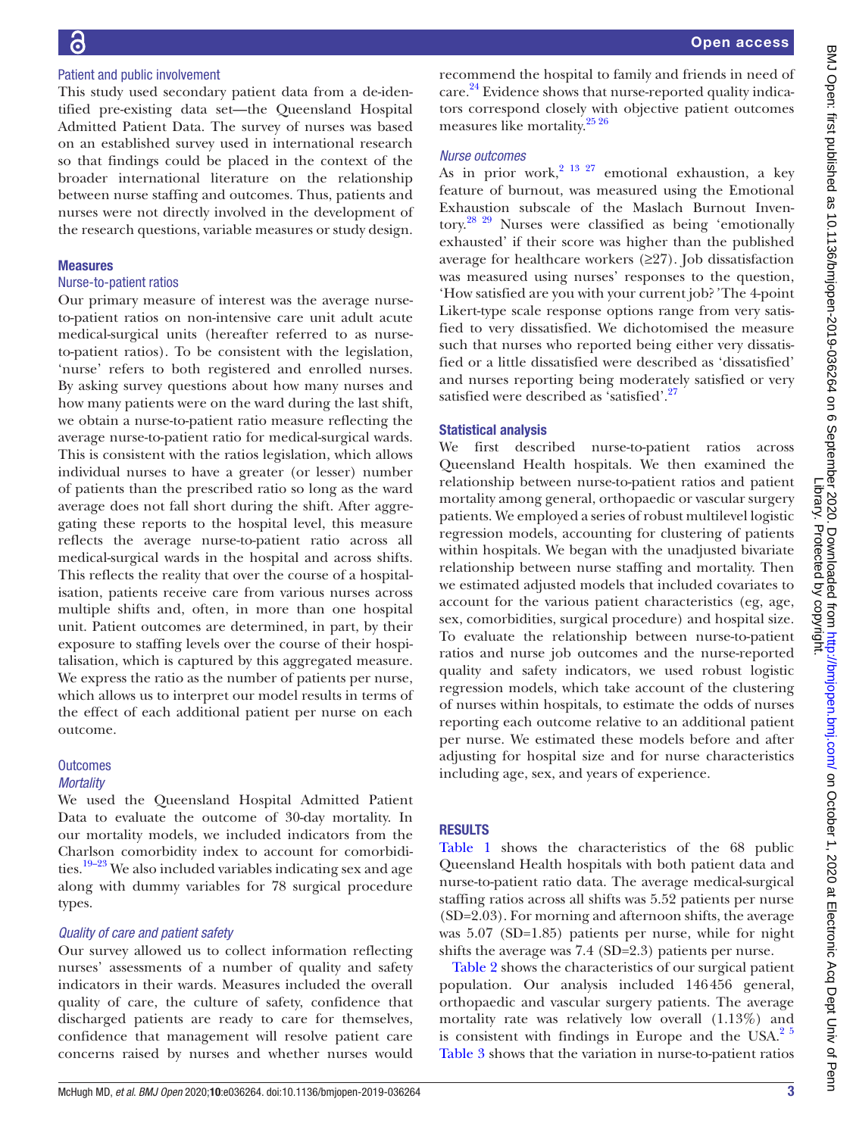# Patient and public involvement

This study used secondary patient data from a de-identified pre-existing data set—the Queensland Hospital Admitted Patient Data. The survey of nurses was based on an established survey used in international research so that findings could be placed in the context of the broader international literature on the relationship between nurse staffing and outcomes. Thus, patients and nurses were not directly involved in the development of the research questions, variable measures or study design.

#### Measures

#### Nurse-to-patient ratios

Our primary measure of interest was the average nurseto-patient ratios on non-intensive care unit adult acute medical-surgical units (hereafter referred to as nurseto-patient ratios). To be consistent with the legislation, 'nurse' refers to both registered and enrolled nurses. By asking survey questions about how many nurses and how many patients were on the ward during the last shift, we obtain a nurse-to-patient ratio measure reflecting the average nurse-to-patient ratio for medical-surgical wards. This is consistent with the ratios legislation, which allows individual nurses to have a greater (or lesser) number of patients than the prescribed ratio so long as the ward average does not fall short during the shift. After aggregating these reports to the hospital level, this measure reflects the average nurse-to-patient ratio across all medical-surgical wards in the hospital and across shifts. This reflects the reality that over the course of a hospitalisation, patients receive care from various nurses across multiple shifts and, often, in more than one hospital unit. Patient outcomes are determined, in part, by their exposure to staffing levels over the course of their hospitalisation, which is captured by this aggregated measure. We express the ratio as the number of patients per nurse, which allows us to interpret our model results in terms of the effect of each additional patient per nurse on each outcome.

### **Outcomes**

#### *Mortality*

We used the Queensland Hospital Admitted Patient Data to evaluate the outcome of 30-day mortality. In our mortality models, we included indicators from the Charlson comorbidity index to account for comorbidities.[19–23](#page-6-6) We also included variables indicating sex and age along with dummy variables for 78 surgical procedure types.

#### *Quality of care and patient safety*

Our survey allowed us to collect information reflecting nurses' assessments of a number of quality and safety indicators in their wards. Measures included the overall quality of care, the culture of safety, confidence that discharged patients are ready to care for themselves, confidence that management will resolve patient care concerns raised by nurses and whether nurses would recommend the hospital to family and friends in need of care.<sup>24</sup> Evidence shows that nurse-reported quality indicators correspond closely with objective patient outcomes measures like mortality[.25 26](#page-6-8)

#### *Nurse outcomes*

As in prior work,  $2^{13}$   $2^{7}$  emotional exhaustion, a key feature of burnout, was measured using the Emotional Exhaustion subscale of the Maslach Burnout Inventory.[28 29](#page-6-9) Nurses were classified as being 'emotionally exhausted' if their score was higher than the published average for healthcare workers  $(≥27)$ . Job dissatisfaction was measured using nurses' responses to the question, 'How satisfied are you with your current job?*'* The 4-point Likert-type scale response options range from very satisfied to very dissatisfied. We dichotomised the measure such that nurses who reported being either very dissatisfied or a little dissatisfied were described as 'dissatisfied' and nurses reporting being moderately satisfied or very satisfied were described as 'satisfied'.<sup>27</sup>

#### Statistical analysis

We first described nurse-to-patient ratios across Queensland Health hospitals. We then examined the relationship between nurse-to-patient ratios and patient mortality among general, orthopaedic or vascular surgery patients. We employed a series of robust multilevel logistic regression models, accounting for clustering of patients within hospitals. We began with the unadjusted bivariate relationship between nurse staffing and mortality. Then we estimated adjusted models that included covariates to account for the various patient characteristics (eg, age, sex, comorbidities, surgical procedure) and hospital size. To evaluate the relationship between nurse-to-patient ratios and nurse job outcomes and the nurse-reported quality and safety indicators, we used robust logistic regression models, which take account of the clustering of nurses within hospitals, to estimate the odds of nurses reporting each outcome relative to an additional patient per nurse. We estimated these models before and after adjusting for hospital size and for nurse characteristics including age, sex, and years of experience.

#### **RESULTS**

[Table](#page-3-0) 1 shows the characteristics of the 68 public Queensland Health hospitals with both patient data and nurse-to-patient ratio data. The average medical-surgical staffing ratios across all shifts was 5.52 patients per nurse (SD=2.03). For morning and afternoon shifts, the average was 5.07 (SD=1.85) patients per nurse, while for night shifts the average was 7.4 (SD=2.3) patients per nurse.

[Table](#page-3-1) 2 shows the characteristics of our surgical patient population. Our analysis included 146456 general, orthopaedic and vascular surgery patients. The average mortality rate was relatively low overall (1.13%) and is consistent with findings in Europe and the USA. $2^5$ [Table](#page-3-2) 3 shows that the variation in nurse-to-patient ratios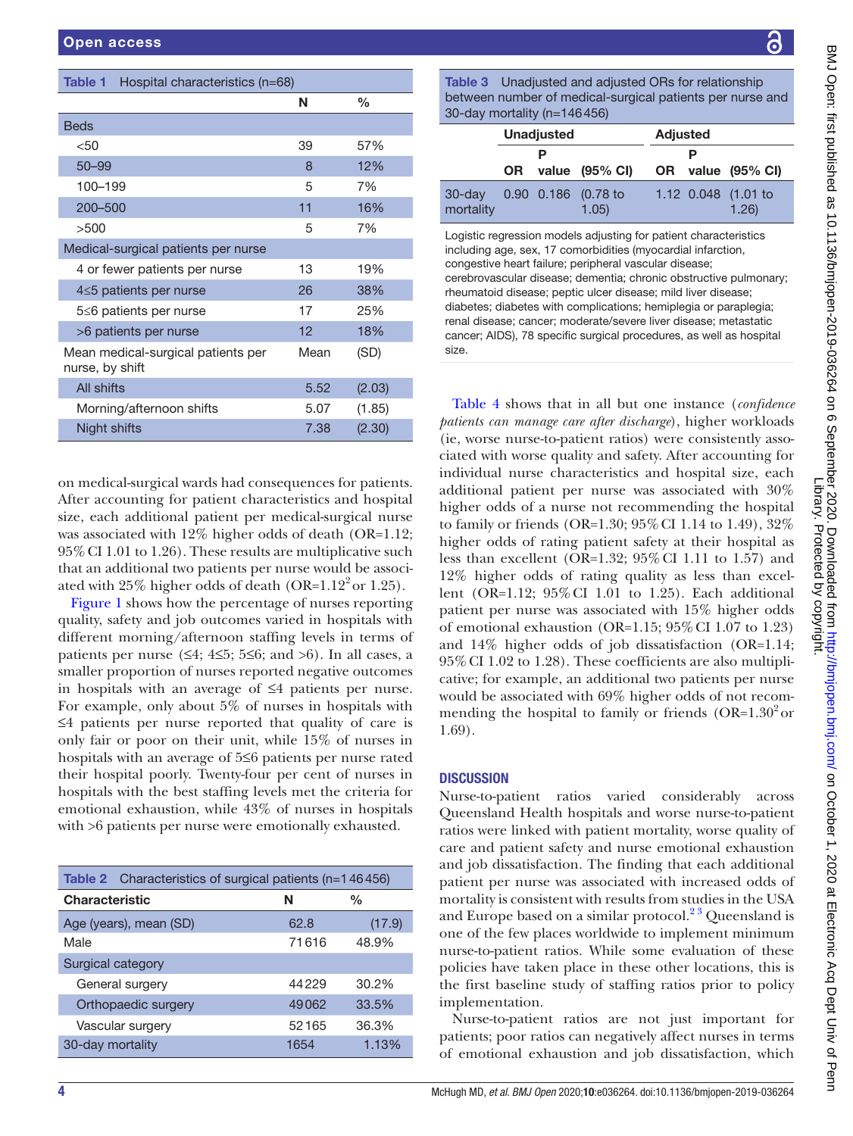<span id="page-3-0"></span>

| Table 1<br>Hospital characteristics (n=68)            |      |        |  |  |
|-------------------------------------------------------|------|--------|--|--|
|                                                       | N    | $\%$   |  |  |
| <b>Beds</b>                                           |      |        |  |  |
| $50$                                                  | 39   | 57%    |  |  |
| 50-99                                                 | 8    | 12%    |  |  |
| 100-199                                               | 5    | 7%     |  |  |
| 200-500                                               | 11   | 16%    |  |  |
| >500                                                  | 5    | 7%     |  |  |
| Medical-surgical patients per nurse                   |      |        |  |  |
| 4 or fewer patients per nurse                         | 19%  |        |  |  |
| $4 \leq 5$ patients per nurse                         | 38%  |        |  |  |
| 5≤6 patients per nurse                                | 17   | 25%    |  |  |
| >6 patients per nurse                                 | 18%  |        |  |  |
| Mean medical-surgical patients per<br>nurse, by shift | Mean | (SD)   |  |  |
| <b>All shifts</b>                                     | 5.52 | (2.03) |  |  |
| 5.07<br>(1.85)<br>Morning/afternoon shifts            |      |        |  |  |
| Night shifts                                          | 7.38 | (2.30) |  |  |

on medical-surgical wards had consequences for patients. After accounting for patient characteristics and hospital size, each additional patient per medical-surgical nurse was associated with 12% higher odds of death (OR=1.12; 95%CI 1.01 to 1.26). These results are multiplicative such that an additional two patients per nurse would be associated with  $25\%$  higher odds of death (OR= $1.12^2$ or 1.25).

[Figure](#page-4-0) 1 shows how the percentage of nurses reporting quality, safety and job outcomes varied in hospitals with different morning/afternoon staffing levels in terms of patients per nurse ( $\leq 4$ ;  $4 \leq 5$ ;  $5 \leq 6$ ; and  $> 6$ ). In all cases, a smaller proportion of nurses reported negative outcomes in hospitals with an average of ≤4 patients per nurse. For example, only about 5% of nurses in hospitals with ≤4 patients per nurse reported that quality of care is only fair or poor on their unit, while 15% of nurses in hospitals with an average of 5≤6 patients per nurse rated their hospital poorly. Twenty-four per cent of nurses in hospitals with the best staffing levels met the criteria for emotional exhaustion, while 43% of nurses in hospitals with >6 patients per nurse were emotionally exhausted.

<span id="page-3-1"></span>

| <b>Table 2</b> Characteristics of surgical patients ( $n=146456$ ) |       |               |  |  |  |  |
|--------------------------------------------------------------------|-------|---------------|--|--|--|--|
| <b>Characteristic</b>                                              | N     | $\frac{0}{0}$ |  |  |  |  |
| Age (years), mean (SD)                                             | 62.8  | (17.9)        |  |  |  |  |
| Male                                                               | 71616 | 48.9%         |  |  |  |  |
| Surgical category                                                  |       |               |  |  |  |  |
| General surgery                                                    | 44229 | 30.2%         |  |  |  |  |
| Orthopaedic surgery                                                | 49062 | 33.5%         |  |  |  |  |
| Vascular surgery                                                   | 52165 | 36.3%         |  |  |  |  |
| 30-day mortality                                                   | 1654  | 1.13%         |  |  |  |  |

<span id="page-3-2"></span>Table 3 Unadjusted and adjusted ORs for relationship between number of medical-surgical patients per nurse and 30-day mortality (n=146456)

|                        | <b>Unadjusted</b> |  | <b>Adjusted</b>                     |  |                             |
|------------------------|-------------------|--|-------------------------------------|--|-----------------------------|
|                        |                   |  |                                     |  |                             |
|                        |                   |  | OR value (95% CI) OR value (95% CI) |  |                             |
| $30$ -day<br>mortality |                   |  | 0.90 0.186 (0.78 to<br>1.05         |  | 1.12 0.048 (1.01 to<br>1.26 |

Logistic regression models adjusting for patient characteristics including age, sex, 17 comorbidities (myocardial infarction, congestive heart failure; peripheral vascular disease; cerebrovascular disease; dementia; chronic obstructive pulmonary; rheumatoid disease; peptic ulcer disease; mild liver disease; diabetes; diabetes with complications; hemiplegia or paraplegia; renal disease; cancer; moderate/severe liver disease; metastatic cancer; AIDS), 78 specific surgical procedures, as well as hospital size.

[Table](#page-4-1) 4 shows that in all but one instance (*confidence patients can manage care after discharge*), higher workloads (ie, worse nurse-to-patient ratios) were consistently associated with worse quality and safety. After accounting for individual nurse characteristics and hospital size, each additional patient per nurse was associated with 30% higher odds of a nurse not recommending the hospital to family or friends (OR=1.30; 95%CI 1.14 to 1.49), 32% higher odds of rating patient safety at their hospital as less than excellent (OR=1.32; 95%CI 1.11 to 1.57) and 12% higher odds of rating quality as less than excellent (OR=1.12; 95%CI 1.01 to 1.25). Each additional patient per nurse was associated with 15% higher odds of emotional exhaustion (OR=1.15;  $95\%$  CI 1.07 to 1.23) and 14% higher odds of job dissatisfaction (OR=1.14; 95%CI 1.02 to 1.28). These coefficients are also multiplicative; for example, an additional two patients per nurse would be associated with 69% higher odds of not recommending the hospital to family or friends  $(OR=1.30<sup>2</sup>$  or 1.69).

#### **DISCUSSION**

Nurse-to-patient ratios varied considerably across Queensland Health hospitals and worse nurse-to-patient ratios were linked with patient mortality, worse quality of care and patient safety and nurse emotional exhaustion and job dissatisfaction. The finding that each additional patient per nurse was associated with increased odds of mortality is consistent with results from studies in the USA and Europe based on a similar protocol. $2<sup>3</sup>$  Queensland is one of the few places worldwide to implement minimum nurse-to-patient ratios. While some evaluation of these policies have taken place in these other locations, this is the first baseline study of staffing ratios prior to policy implementation.

Nurse-to-patient ratios are not just important for patients; poor ratios can negatively affect nurses in terms of emotional exhaustion and job dissatisfaction, which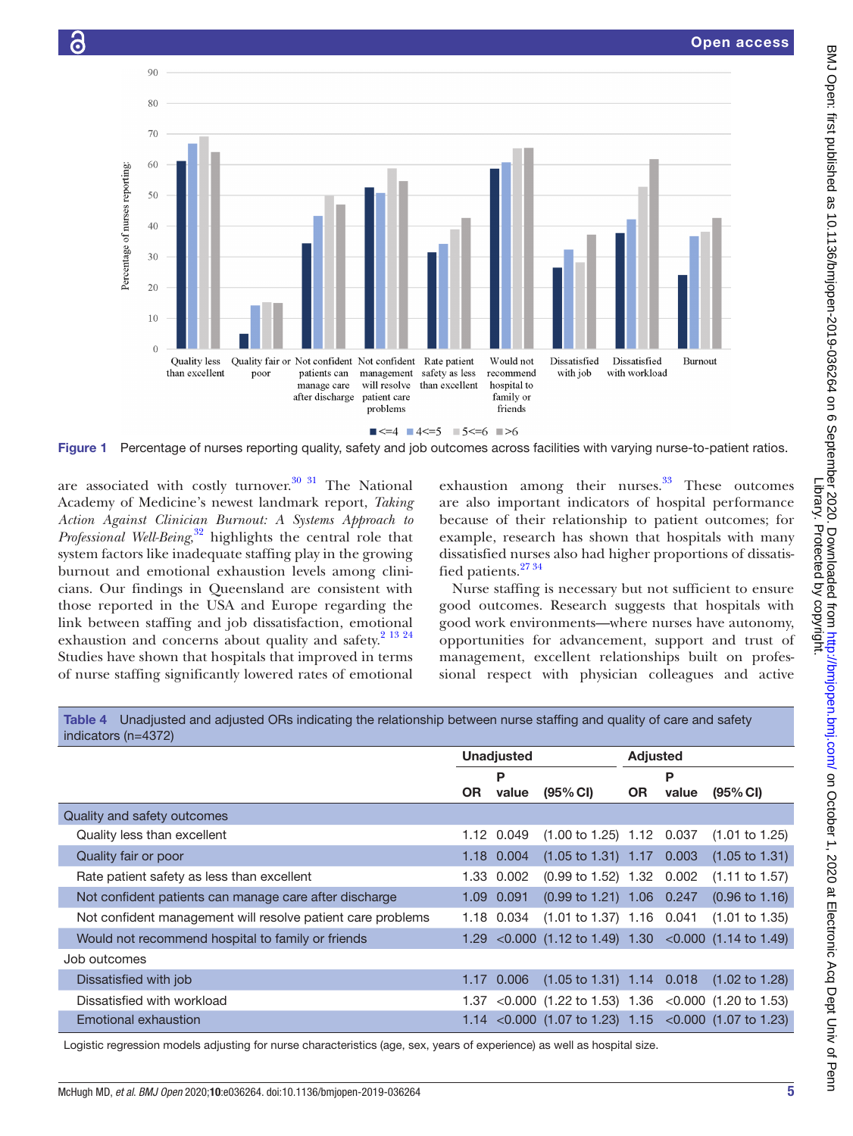

<span id="page-4-0"></span>Figure 1 Percentage of nurses reporting quality, safety and job outcomes across facilities with varying nurse-to-patient ratios.

are associated with costly turnover.<sup>30</sup> <sup>31</sup> The National Academy of Medicine's newest landmark report, *Taking Action Against Clinician Burnout: A Systems Approach to Professional Well-Being*, [32](#page-6-12) highlights the central role that system factors like inadequate staffing play in the growing burnout and emotional exhaustion levels among clinicians. Our findings in Queensland are consistent with those reported in the USA and Europe regarding the link between staffing and job dissatisfaction, emotional exhaustion and concerns about quality and safety. $2^{13}$   $^{24}$ Studies have shown that hospitals that improved in terms of nurse staffing significantly lowered rates of emotional exhaustion among their nurses. $33$  These outcomes are also important indicators of hospital performance because of their relationship to patient outcomes; for example, research has shown that hospitals with many dissatisfied nurses also had higher proportions of dissatisfied patients[.27 34](#page-6-10)

Nurse staffing is necessary but not sufficient to ensure good outcomes. Research suggests that hospitals with good work environments—where nurses have autonomy, opportunities for advancement, support and trust of management, excellent relationships built on professional respect with physician colleagues and active

<span id="page-4-1"></span>Table 4 Unadjusted and adjusted ORs indicating the relationship between nurse staffing and quality of care and safety indicators (n=4372)

|                                                             | <b>Unadjusted</b> |            |                                                                                    | <b>Adjusted</b> |       |                           |
|-------------------------------------------------------------|-------------------|------------|------------------------------------------------------------------------------------|-----------------|-------|---------------------------|
|                                                             |                   | P          |                                                                                    |                 | P     |                           |
|                                                             | OR.               | value      | (95% CI)                                                                           | <b>OR</b>       | value | (95% CI)                  |
| Quality and safety outcomes                                 |                   |            |                                                                                    |                 |       |                           |
| Quality less than excellent                                 |                   | 1.12 0.049 | $(1.00 \text{ to } 1.25)$ 1.12 0.037                                               |                 |       | $(1.01 \text{ to } 1.25)$ |
| Quality fair or poor                                        |                   | 1.18 0.004 | $(1.05 \text{ to } 1.31)$ 1.17                                                     |                 | 0.003 | $(1.05 \text{ to } 1.31)$ |
| Rate patient safety as less than excellent                  |                   | 1.33 0.002 | $(0.99 \text{ to } 1.52)$ 1.32                                                     |                 | 0.002 | $(1.11 \text{ to } 1.57)$ |
| Not confident patients can manage care after discharge      |                   | 1.09 0.091 | $(0.99 \text{ to } 1.21)$ 1.06 0.247                                               |                 |       | $(0.96 \text{ to } 1.16)$ |
| Not confident management will resolve patient care problems | 1.18              | 0.034      | $(1.01 \text{ to } 1.37)$ 1.16 0.041                                               |                 |       | $(1.01 \text{ to } 1.35)$ |
| Would not recommend hospital to family or friends           |                   |            | 1.29 < $0.000$ (1.12 to 1.49) 1.30 < 0.000 (1.14 to 1.49)                          |                 |       |                           |
| Job outcomes                                                |                   |            |                                                                                    |                 |       |                           |
| Dissatisfied with job                                       | 1.17              | 0.006      | $(1.05 \text{ to } 1.31)$ 1.14 0.018                                               |                 |       | $(1.02 \text{ to } 1.28)$ |
| Dissatisfied with workload                                  | 1.37              |            | $\langle 0.000 \rangle$ (1.22 to 1.53) 1.36 $\langle 0.000 \rangle$ (1.20 to 1.53) |                 |       |                           |
| Emotional exhaustion                                        |                   |            | 1.14 < $0.000$ (1.07 to 1.23) 1.15 < 0.000 (1.07 to 1.23)                          |                 |       |                           |

Logistic regression models adjusting for nurse characteristics (age, sex, years of experience) as well as hospital size.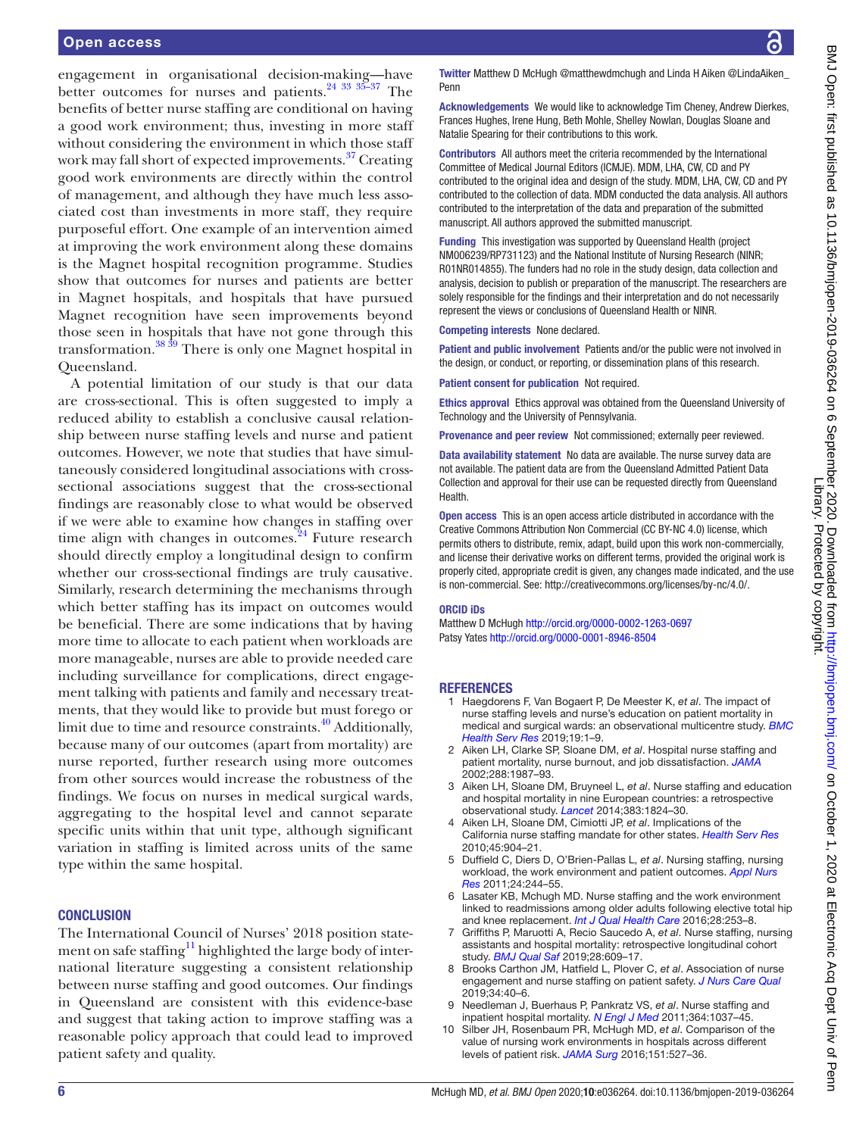engagement in organisational decision-making—have better outcomes for nurses and patients. $24 \frac{33}{35} \cdot 35 - 37$  The benefits of better nurse staffing are conditional on having a good work environment; thus, investing in more staff without considering the environment in which those staff work may fall short of expected improvements.<sup>[37](#page-6-14)</sup> Creating good work environments are directly within the control of management, and although they have much less associated cost than investments in more staff, they require purposeful effort. One example of an intervention aimed at improving the work environment along these domains is the Magnet hospital recognition programme. Studies show that outcomes for nurses and patients are better in Magnet hospitals, and hospitals that have pursued Magnet recognition have seen improvements beyond those seen in hospitals that have not gone through this transformation.[38 39](#page-6-15) There is only one Magnet hospital in Queensland.

A potential limitation of our study is that our data are cross-sectional. This is often suggested to imply a reduced ability to establish a conclusive causal relationship between nurse staffing levels and nurse and patient outcomes. However, we note that studies that have simultaneously considered longitudinal associations with crosssectional associations suggest that the cross-sectional findings are reasonably close to what would be observed if we were able to examine how changes in staffing over time align with changes in outcomes. $^{24}$  Future research should directly employ a longitudinal design to confirm whether our cross-sectional findings are truly causative. Similarly, research determining the mechanisms through which better staffing has its impact on outcomes would be beneficial. There are some indications that by having more time to allocate to each patient when workloads are more manageable, nurses are able to provide needed care including surveillance for complications, direct engagement talking with patients and family and necessary treatments, that they would like to provide but must forego or limit due to time and resource constraints. $40$  Additionally, because many of our outcomes (apart from mortality) are nurse reported, further research using more outcomes from other sources would increase the robustness of the findings. We focus on nurses in medical surgical wards, aggregating to the hospital level and cannot separate specific units within that unit type, although significant variation in staffing is limited across units of the same type within the same hospital.

#### **CONCLUSION**

The International Council of Nurses' 2018 position state-ment on safe staffing<sup>[11](#page-6-0)</sup> highlighted the large body of international literature suggesting a consistent relationship between nurse staffing and good outcomes. Our findings in Queensland are consistent with this evidence-base and suggest that taking action to improve staffing was a reasonable policy approach that could lead to improved patient safety and quality.

Twitter Matthew D McHugh [@matthewdmchugh](https://twitter.com/matthewdmchugh) and Linda H Aiken [@LindaAiken\\_](https://twitter.com/LindaAiken_Penn) [Penn](https://twitter.com/LindaAiken_Penn)

Acknowledgements We would like to acknowledge Tim Cheney, Andrew Dierkes, Frances Hughes, Irene Hung, Beth Mohle, Shelley Nowlan, Douglas Sloane and Natalie Spearing for their contributions to this work.

Contributors All authors meet the criteria recommended by the International Committee of Medical Journal Editors (ICMJE). MDM, LHA, CW, CD and PY contributed to the original idea and design of the study. MDM, LHA, CW, CD and PY contributed to the collection of data. MDM conducted the data analysis. All authors contributed to the interpretation of the data and preparation of the submitted manuscript. All authors approved the submitted manuscript.

Funding This investigation was supported by Queensland Health (project NM006239/RP731123) and the National Institute of Nursing Research (NINR; R01NR014855). The funders had no role in the study design, data collection and analysis, decision to publish or preparation of the manuscript. The researchers are solely responsible for the findings and their interpretation and do not necessarily represent the views or conclusions of Queensland Health or NINR.

Competing interests None declared.

Patient and public involvement Patients and/or the public were not involved in the design, or conduct, or reporting, or dissemination plans of this research.

Patient consent for publication Not required.

Ethics approval Ethics approval was obtained from the Queensland University of Technology and the University of Pennsylvania.

Provenance and peer review Not commissioned; externally peer reviewed.

Data availability statement No data are available. The nurse survey data are not available. The patient data are from the Queensland Admitted Patient Data Collection and approval for their use can be requested directly from Queensland Health.

Open access This is an open access article distributed in accordance with the Creative Commons Attribution Non Commercial (CC BY-NC 4.0) license, which permits others to distribute, remix, adapt, build upon this work non-commercially, and license their derivative works on different terms, provided the original work is properly cited, appropriate credit is given, any changes made indicated, and the use is non-commercial. See: [http://creativecommons.org/licenses/by-nc/4.0/.](http://creativecommons.org/licenses/by-nc/4.0/)

#### ORCID iDs

Matthew D McHugh<http://orcid.org/0000-0002-1263-0697> Patsy Yates<http://orcid.org/0000-0001-8946-8504>

#### **REFERENCES**

- <span id="page-5-0"></span>1 Haegdorens F, Van Bogaert P, De Meester K, *et al*. The impact of nurse staffing levels and nurse's education on patient mortality in medical and surgical wards: an observational multicentre study. *[BMC](http://dx.doi.org/10.1186/s12913-019-4688-7)  [Health Serv Res](http://dx.doi.org/10.1186/s12913-019-4688-7)* 2019;19:1–9.
- <span id="page-5-3"></span>2 Aiken LH, Clarke SP, Sloane DM, *et al*. Hospital nurse staffing and patient mortality, nurse burnout, and job dissatisfaction. *[JAMA](http://dx.doi.org/10.1001/jama.288.16.1987)* 2002;288:1987–93.
- <span id="page-5-2"></span>3 Aiken LH, Sloane DM, Bruyneel L, *et al*. Nurse staffing and education and hospital mortality in nine European countries: a retrospective observational study. *[Lancet](http://dx.doi.org/10.1016/S0140-6736(13)62631-8)* 2014;383:1824–30.
- <span id="page-5-1"></span>4 Aiken LH, Sloane DM, Cimiotti JP, *et al*. Implications of the California nurse staffing mandate for other states. *[Health Serv Res](http://dx.doi.org/10.1111/j.1475-6773.2010.01114.x)* 2010;45:904–21.
- 5 Duffield C, Diers D, O'Brien-Pallas L, *et al*. Nursing staffing, nursing workload, the work environment and patient outcomes. *[Appl Nurs](http://dx.doi.org/10.1016/j.apnr.2009.12.004)  [Res](http://dx.doi.org/10.1016/j.apnr.2009.12.004)* 2011;24:244–55.
- 6 Lasater KB, Mchugh MD. Nurse staffing and the work environment linked to readmissions among older adults following elective total hip and knee replacement. *[Int J Qual Health Care](http://dx.doi.org/10.1093/intqhc/mzw007)* 2016;28:253–8.
- 7 Griffiths P, Maruotti A, Recio Saucedo A, *et al*. Nurse staffing, nursing assistants and hospital mortality: retrospective longitudinal cohort study. *[BMJ Qual Saf](http://dx.doi.org/10.1136/bmjqs-2018-008043)* 2019;28:609–17.
- 8 Brooks Carthon JM, Hatfield L, Plover C, *et al*. Association of nurse engagement and nurse staffing on patient safety. *[J Nurs Care Qual](http://dx.doi.org/10.1097/NCQ.0000000000000334)* 2019;34:40–6.
- 9 Needleman J, Buerhaus P, Pankratz VS, *et al*. Nurse staffing and inpatient hospital mortality. *[N Engl J Med](http://dx.doi.org/10.1056/NEJMsa1001025)* 2011;364:1037–45.
- 10 Silber JH, Rosenbaum PR, McHugh MD, *et al*. Comparison of the value of nursing work environments in hospitals across different levels of patient risk. *[JAMA Surg](http://dx.doi.org/10.1001/jamasurg.2015.4908)* 2016;151:527–36.